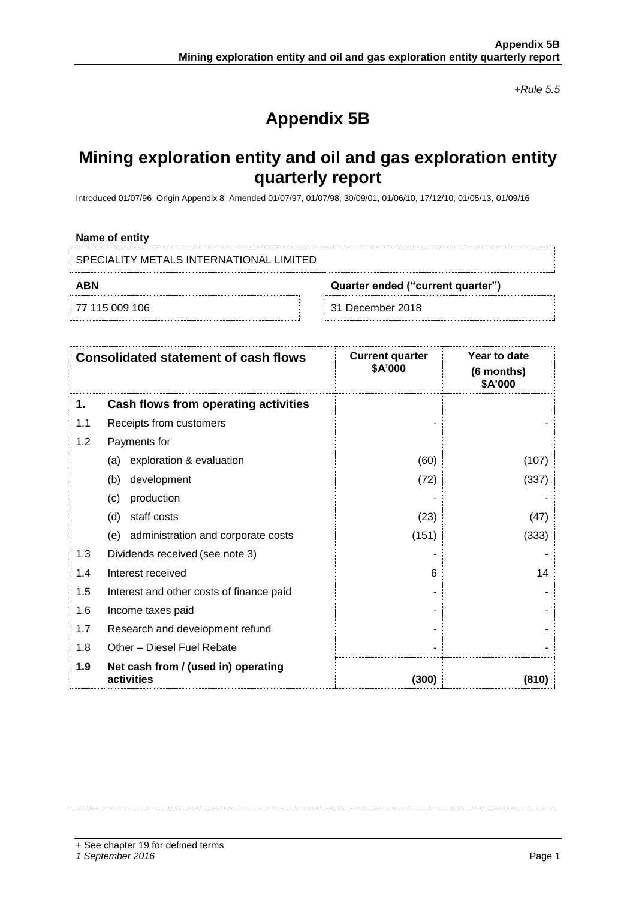*+Rule 5.5*

# **Appendix 5B**

## **Mining exploration entity and oil and gas exploration entity quarterly report**

Introduced 01/07/96 Origin Appendix 8 Amended 01/07/97, 01/07/98, 30/09/01, 01/06/10, 17/12/10, 01/05/13, 01/09/16

#### **Name of entity**

| SPECIALITY METALS INTERNATIONAL LIMITED  |  |                  |
|------------------------------------------|--|------------------|
| ABN<br>Quarter ended ("current quarter") |  |                  |
| 77 115 009 106                           |  | 31 December 2018 |

|     | <b>Consolidated statement of cash flows</b>       | <b>Current quarter</b><br>\$A'000 | Year to date<br>(6 months)<br>\$A'000 |
|-----|---------------------------------------------------|-----------------------------------|---------------------------------------|
| 1.  | Cash flows from operating activities              |                                   |                                       |
| 1.1 | Receipts from customers                           |                                   |                                       |
| 1.2 | Payments for                                      |                                   |                                       |
|     | exploration & evaluation<br>(a)                   | (60)                              | (107)                                 |
|     | (b)<br>development                                | (72)                              | (337)                                 |
|     | production<br>(c)                                 |                                   |                                       |
|     | staff costs<br>(d)                                | (23)                              | (47)                                  |
|     | administration and corporate costs<br>(e)         | (151)                             | (333)                                 |
| 1.3 | Dividends received (see note 3)                   |                                   |                                       |
| 1.4 | Interest received                                 | 6                                 | 14                                    |
| 1.5 | Interest and other costs of finance paid          |                                   |                                       |
| 1.6 | Income taxes paid                                 |                                   |                                       |
| 1.7 | Research and development refund                   |                                   |                                       |
| 1.8 | Other - Diesel Fuel Rebate                        |                                   |                                       |
| 1.9 | Net cash from / (used in) operating<br>activities | (300)                             | (810)                                 |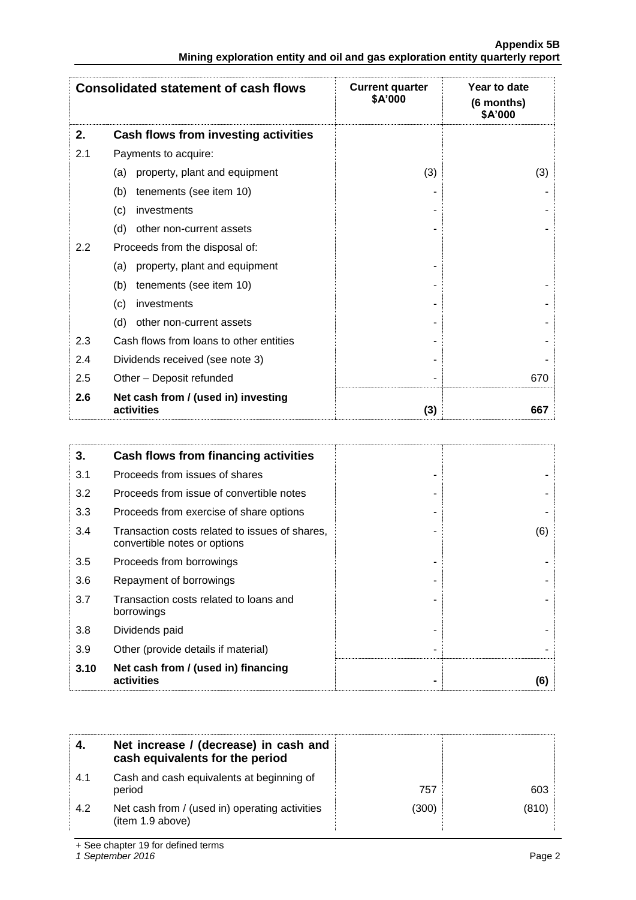|                                                                               | <b>Appendix 5B</b> |
|-------------------------------------------------------------------------------|--------------------|
| Mining exploration entity and oil and gas exploration entity quarterly report |                    |

|     | <b>Consolidated statement of cash flows</b>       | <b>Current quarter</b><br>\$A'000 | Year to date<br>(6 months)<br>\$A'000 |
|-----|---------------------------------------------------|-----------------------------------|---------------------------------------|
| 2.  | Cash flows from investing activities              |                                   |                                       |
| 2.1 | Payments to acquire:                              |                                   |                                       |
|     | property, plant and equipment<br>(a)              | (3)                               | (3)                                   |
|     | tenements (see item 10)<br>(b)                    |                                   |                                       |
|     | (c)<br>investments                                |                                   |                                       |
|     | (d)<br>other non-current assets                   |                                   |                                       |
| 2.2 | Proceeds from the disposal of:                    |                                   |                                       |
|     | property, plant and equipment<br>(a)              |                                   |                                       |
|     | tenements (see item 10)<br>(b)                    |                                   |                                       |
|     | investments<br>(c)                                |                                   |                                       |
|     | (d)<br>other non-current assets                   |                                   |                                       |
| 2.3 | Cash flows from loans to other entities           |                                   |                                       |
| 2.4 | Dividends received (see note 3)                   |                                   |                                       |
| 2.5 | Other - Deposit refunded                          |                                   | 670                                   |
| 2.6 | Net cash from / (used in) investing<br>activities | (3)                               | 667                                   |

| 3.   | Cash flows from financing activities                                           |     |
|------|--------------------------------------------------------------------------------|-----|
| 3.1  | Proceeds from issues of shares                                                 |     |
| 3.2  | Proceeds from issue of convertible notes                                       |     |
| 3.3  | Proceeds from exercise of share options                                        |     |
| 3.4  | Transaction costs related to issues of shares,<br>convertible notes or options | (6) |
| 3.5  | Proceeds from borrowings                                                       |     |
| 3.6  | Repayment of borrowings                                                        |     |
| 3.7  | Transaction costs related to loans and<br>borrowings                           |     |
| 3.8  | Dividends paid                                                                 |     |
| 3.9  | Other (provide details if material)                                            |     |
| 3.10 | Net cash from / (used in) financing<br>activities                              | (6) |

|     | Net increase / (decrease) in cash and<br>cash equivalents for the period |       |       |
|-----|--------------------------------------------------------------------------|-------|-------|
| 4.1 | Cash and cash equivalents at beginning of<br>period                      | 757   | 603   |
| 4.2 | Net cash from / (used in) operating activities<br>(item 1.9 above)       | (300) | (810) |

+ See chapter 19 for defined terms

*1 September 2016* Page 2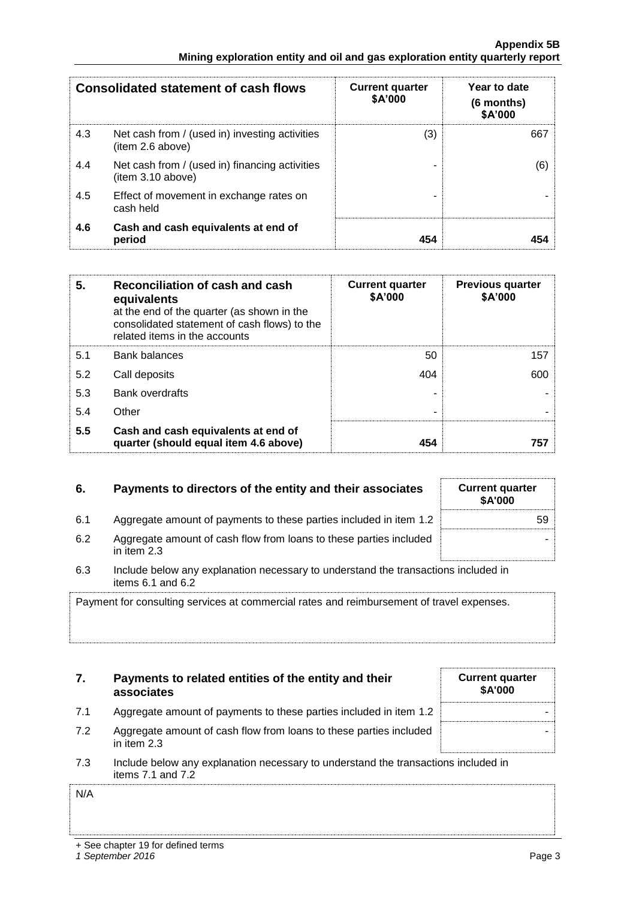|     | <b>Consolidated statement of cash flows</b>                        | <b>Current quarter</b><br>\$A'000 | Year to date<br>$(6$ months)<br>\$A'000 |
|-----|--------------------------------------------------------------------|-----------------------------------|-----------------------------------------|
| 4.3 | Net cash from / (used in) investing activities<br>(item 2.6 above) | (3)                               | 667                                     |
| 4.4 | Net cash from / (used in) financing activities<br>item 3.10 above) |                                   | (6)                                     |
| 4.5 | Effect of movement in exchange rates on<br>cash held               |                                   |                                         |
| 4.6 | Cash and cash equivalents at end of<br>period                      | 454                               |                                         |

| 5.  | Reconciliation of cash and cash<br>equivalents<br>at the end of the quarter (as shown in the<br>consolidated statement of cash flows) to the<br>related items in the accounts | <b>Current quarter</b><br>\$A'000 | <b>Previous quarter</b><br>\$A'000 |
|-----|-------------------------------------------------------------------------------------------------------------------------------------------------------------------------------|-----------------------------------|------------------------------------|
| 5.1 | <b>Bank balances</b>                                                                                                                                                          | 50                                | 157                                |
| 5.2 | Call deposits                                                                                                                                                                 | 404                               | 600                                |
| 5.3 | <b>Bank overdrafts</b>                                                                                                                                                        |                                   |                                    |
| 5.4 | Other                                                                                                                                                                         | -                                 |                                    |
| 5.5 | Cash and cash equivalents at end of<br>quarter (should equal item 4.6 above)                                                                                                  | 454                               | 757                                |

## **6.** Payments to directors of the entity and their associates

- 6.1 Aggregate amount of payments to these parties included in item 1.2
- 6.2 Aggregate amount of cash flow from loans to these parties included in item 2.3
- 6.3 Include below any explanation necessary to understand the transactions included in items 6.1 and 6.2

Payment for consulting services at commercial rates and reimbursement of travel expenses.

|      | Payments to related entities of the entity and their<br>associates | <b>Current quarter</b><br>\$A'000 |
|------|--------------------------------------------------------------------|-----------------------------------|
| -7.1 | Aggregate amount of payments to these parties included in item 1.2 |                                   |

- 7.2 Aggregate amount of cash flow from loans to these parties included in item 2.3
- 7.3 Include below any explanation necessary to understand the transactions included in items 7.1 and 7.2

N/A

| <b>Current quarter</b><br>\$A'000 |  |
|-----------------------------------|--|
| 59                                |  |
|                                   |  |
|                                   |  |

-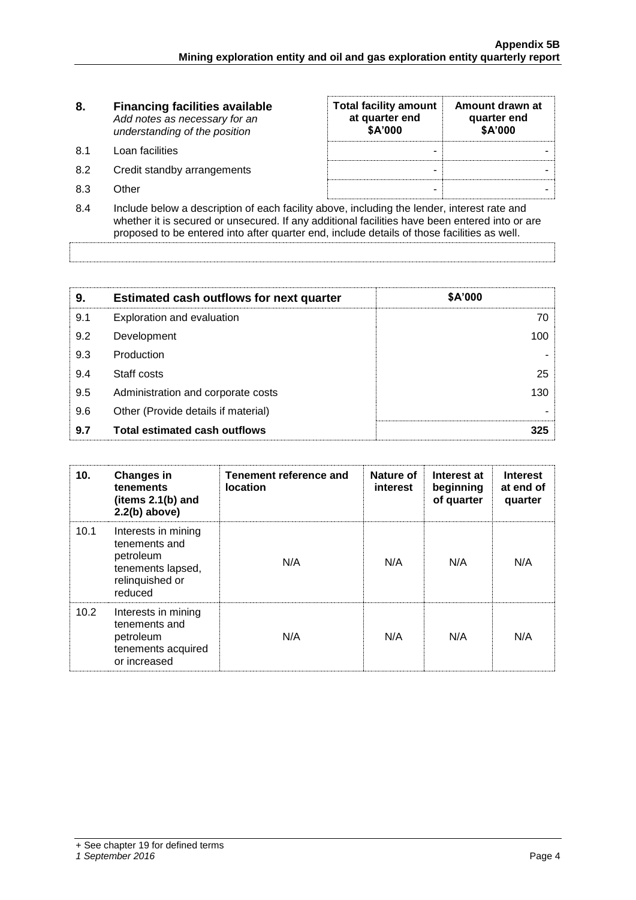| 8.                              | <b>Financing facilities available</b><br>Add notes as necessary for an<br>understanding of the position | <b>Total facility amount</b><br>at quarter end<br>\$A'000 | Amount drawn at<br>quarter end<br>\$A'000 |
|---------------------------------|---------------------------------------------------------------------------------------------------------|-----------------------------------------------------------|-------------------------------------------|
| .8.1                            | Loan facilities                                                                                         | -                                                         |                                           |
| 8.2                             | Credit standby arrangements                                                                             | -                                                         |                                           |
| 8.3                             | Other                                                                                                   | -                                                         |                                           |
| $\mathsf{R}$ $\mathsf{\Lambda}$ | Include below a description of each facility above including the lender interest rate and               |                                                           |                                           |

8.4 Include below a description of each facility above, including the lender, interest rate and whether it is secured or unsecured. If any additional facilities have been entered into or are proposed to be entered into after quarter end, include details of those facilities as well.

| 9.  | <b>Estimated cash outflows for next quarter</b> | \$A'000 |
|-----|-------------------------------------------------|---------|
| 9.1 | Exploration and evaluation                      | 70.     |
| 9.2 | Development                                     | 100     |
| 9.3 | Production                                      |         |
| 9.4 | Staff costs                                     | 25      |
| 9.5 | Administration and corporate costs              | 130     |
| 9.6 | Other (Provide details if material)             |         |
| 9.7 | <b>Total estimated cash outflows</b>            | 325     |

| 10.  | <b>Changes in</b><br>tenements<br>(items $2.1(b)$ and<br>$2.2(b)$ above)                             | Tenement reference and<br><b>location</b> | Nature of<br><b>interest</b> | Interest at<br>beginning<br>of quarter | <b>Interest</b><br>at end of<br>quarter |
|------|------------------------------------------------------------------------------------------------------|-------------------------------------------|------------------------------|----------------------------------------|-----------------------------------------|
| 10.1 | Interests in mining<br>tenements and<br>petroleum<br>tenements lapsed,<br>relinquished or<br>reduced | N/A                                       | N/A                          | N/A                                    | N/A                                     |
| 10.2 | Interests in mining<br>tenements and<br>petroleum<br>tenements acquired<br>or increased              | N/A                                       | N/A                          | N/A                                    | N/A                                     |